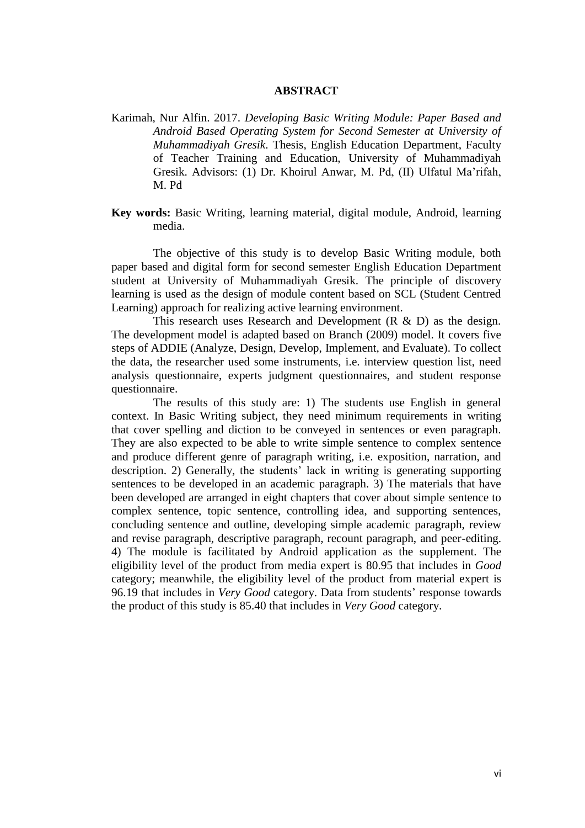## **ABSTRACT**

Karimah, Nur Alfin. 2017. *Developing Basic Writing Module: Paper Based and Android Based Operating System for Second Semester at University of Muhammadiyah Gresik*. Thesis, English Education Department, Faculty of Teacher Training and Education, University of Muhammadiyah Gresik. Advisors: (1) Dr. Khoirul Anwar, M. Pd, (II) Ulfatul Ma"rifah, M. Pd

**Key words:** Basic Writing, learning material, digital module, Android, learning media.

The objective of this study is to develop Basic Writing module, both paper based and digital form for second semester English Education Department student at University of Muhammadiyah Gresik. The principle of discovery learning is used as the design of module content based on SCL (Student Centred Learning) approach for realizing active learning environment.

This research uses Research and Development  $(R & D)$  as the design. The development model is adapted based on Branch (2009) model. It covers five steps of ADDIE (Analyze, Design, Develop, Implement, and Evaluate). To collect the data, the researcher used some instruments, i.e. interview question list, need analysis questionnaire, experts judgment questionnaires, and student response questionnaire.

The results of this study are: 1) The students use English in general context. In Basic Writing subject, they need minimum requirements in writing that cover spelling and diction to be conveyed in sentences or even paragraph. They are also expected to be able to write simple sentence to complex sentence and produce different genre of paragraph writing, i.e. exposition, narration, and description. 2) Generally, the students' lack in writing is generating supporting sentences to be developed in an academic paragraph. 3) The materials that have been developed are arranged in eight chapters that cover about simple sentence to complex sentence, topic sentence, controlling idea, and supporting sentences, concluding sentence and outline, developing simple academic paragraph, review and revise paragraph, descriptive paragraph, recount paragraph, and peer-editing. 4) The module is facilitated by Android application as the supplement. The eligibility level of the product from media expert is 80.95 that includes in *Good* category; meanwhile, the eligibility level of the product from material expert is 96.19 that includes in *Very Good* category. Data from students" response towards the product of this study is 85.40 that includes in *Very Good* category.